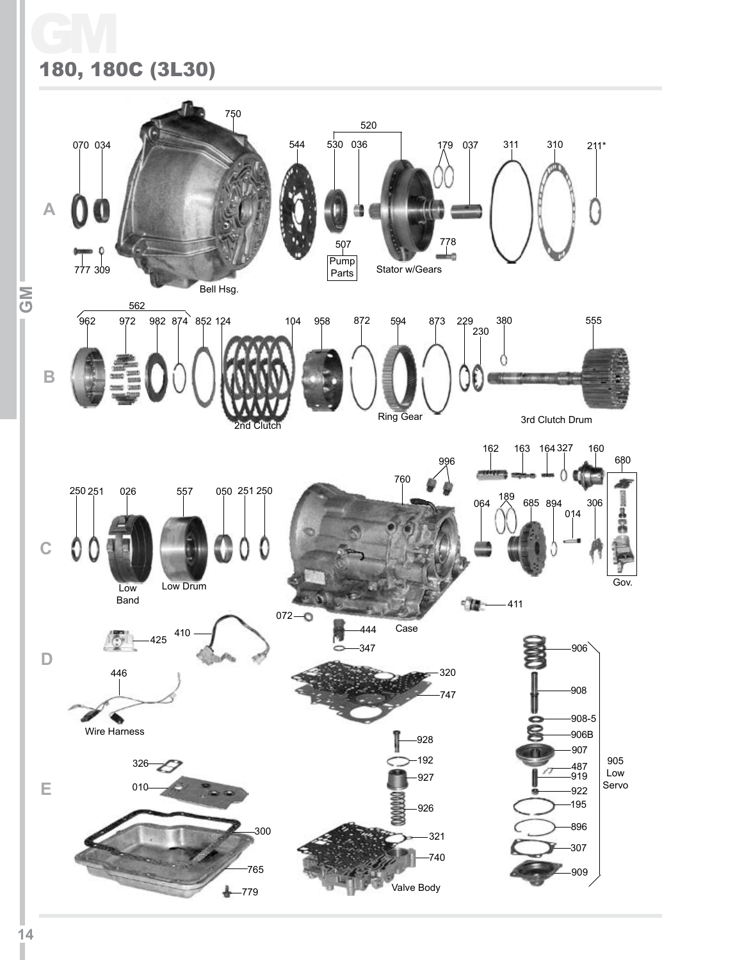## GM 180, 180C (3L30)